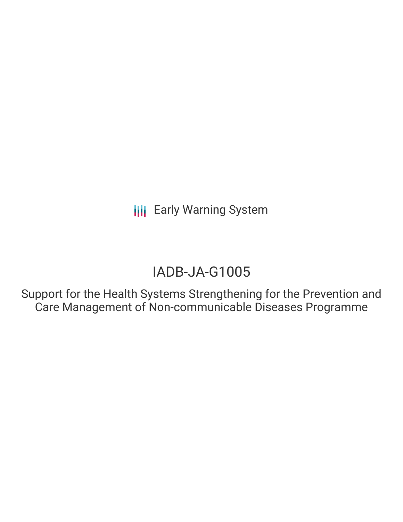# IADB-JA-G1005

Support for the Health Systems Strengthening for the Prevention and Care Management of Non-communicable Diseases Programme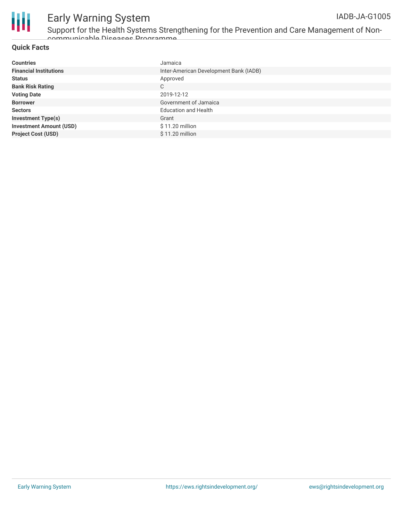

Support for the Health Systems Strengthening for the Prevention and Care Management of Noncommunicable Diseases Programme

#### **Quick Facts**

| <b>Countries</b>               | Jamaica                                |
|--------------------------------|----------------------------------------|
| <b>Financial Institutions</b>  | Inter-American Development Bank (IADB) |
| <b>Status</b>                  | Approved                               |
| <b>Bank Risk Rating</b>        | C                                      |
| <b>Voting Date</b>             | 2019-12-12                             |
| <b>Borrower</b>                | Government of Jamaica                  |
| <b>Sectors</b>                 | <b>Education and Health</b>            |
| <b>Investment Type(s)</b>      | Grant                                  |
| <b>Investment Amount (USD)</b> | $$11.20$ million                       |
| <b>Project Cost (USD)</b>      | $$11.20$ million                       |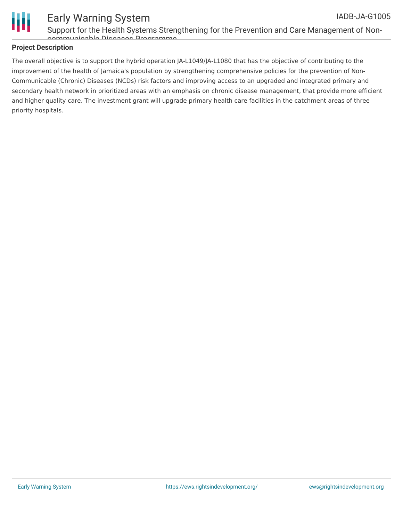

#### **Project Description**

The overall objective is to support the hybrid operation JA-L1049/JA-L1080 that has the objective of contributing to the improvement of the health of Jamaica's population by strengthening comprehensive policies for the prevention of Non-Communicable (Chronic) Diseases (NCDs) risk factors and improving access to an upgraded and integrated primary and secondary health network in prioritized areas with an emphasis on chronic disease management, that provide more efficient and higher quality care. The investment grant will upgrade primary health care facilities in the catchment areas of three priority hospitals.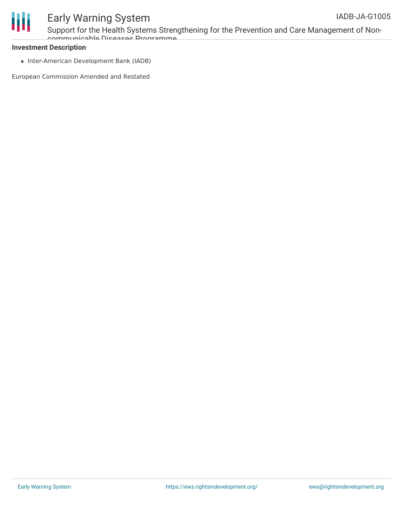

Support for the Health Systems Strengthening for the Prevention and Care Management of Noncommunicable Diseases Programme

#### **Investment Description**

• Inter-American Development Bank (IADB)

European Commission Amended and Restated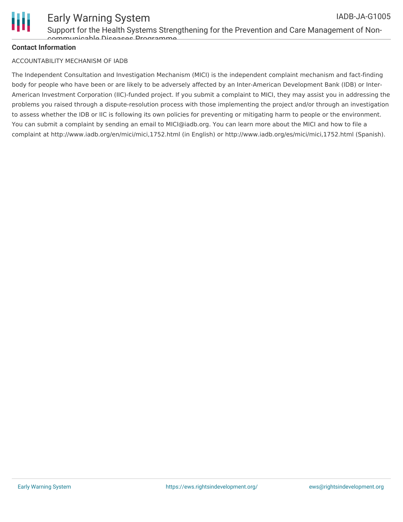

#### Early Warning System IADB-JA-G1005

Support for the Health Systems Strengthening for the Prevention and Care Management of Noncommunicable Diseases Programme

#### **Contact Information**

#### ACCOUNTABILITY MECHANISM OF IADB

The Independent Consultation and Investigation Mechanism (MICI) is the independent complaint mechanism and fact-finding body for people who have been or are likely to be adversely affected by an Inter-American Development Bank (IDB) or Inter-American Investment Corporation (IIC)-funded project. If you submit a complaint to MICI, they may assist you in addressing the problems you raised through a dispute-resolution process with those implementing the project and/or through an investigation to assess whether the IDB or IIC is following its own policies for preventing or mitigating harm to people or the environment. You can submit a complaint by sending an email to MICI@iadb.org. You can learn more about the MICI and how to file a complaint at http://www.iadb.org/en/mici/mici,1752.html (in English) or http://www.iadb.org/es/mici/mici,1752.html (Spanish).